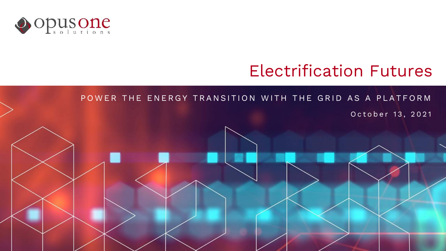

# Electrification Futures

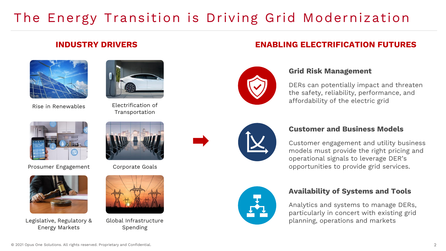# The Energy Transition is Driving Grid Modernization

### **INDUSTRY DRIVERS**



Rise in Renewables Electrification of



Prosumer Engagement



Legislative, Regulatory & Energy Markets



Transportation



Corporate Goals



Global Infrastructure Spending



## **ENABLING ELECTRIFICATION FUTURES**



### **Grid Risk Management**

DERs can potentially impact and threaten the safety, reliability, performance, and affordability of the electric grid



### **Customer and Business Models**

Customer engagement and utility business models must provide the right pricing and operational signals to leverage DER's opportunities to provide grid services.



### **Availability of Systems and Tools**

Analytics and systems to manage DERs, particularly in concert with existing grid planning, operations and markets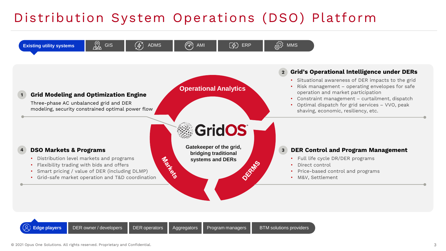# Distribution System Operations (DSO) Platform

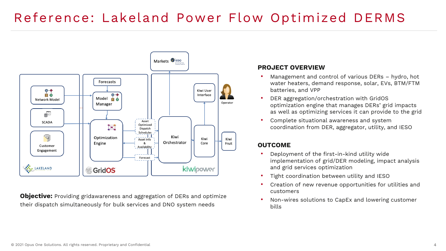# Reference: Lakeland Power Flow Optimized DERMS



**Objective:** Providing gridawareness and aggregation of DERs and optimize their dispatch simultaneously for bulk services and DNO system needs

#### **PROJECT OVERVIEW**

- Management and control of various DERs hydro, hot water heaters, demand response, solar, EVs, BTM/FTM batteries, and VPP
- DER aggregation/orchestration with GridOS optimization engine that manages DERs' grid impacts as well as optimizing services it can provide to the grid
- Complete situational awareness and system coordination from DER, aggregator, utility, and IESO

### **OUTCOME**

- Deployment of the first-in-kind utility wide implementation of grid/DER modeling, impact analysis and grid services optimization
- Tight coordination between utility and IESO
- Creation of new revenue opportunities for utilities and customers
- Non-wires solutions to CapEx and lowering customer bills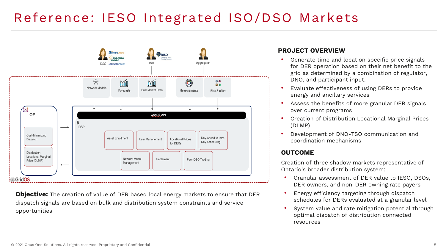# Reference: IESO Integrated ISO/DSO Markets



**Objective:** The creation of value of DER based local energy markets to ensure that DER dispatch signals are based on bulk and distribution system constraints and service opportunities

#### **PROJECT OVERVIEW**

- Generate time and location specific price signals for DER operation based on their net benefit to the grid as determined by a combination of regulator, DNO, and participant input.
- Evaluate effectiveness of using DERs to provide energy and ancillary services
- Assess the benefits of more granular DER signals over current programs
- Creation of Distribution Locational Marginal Prices (DLMP)
- Development of DNO-TSO communication and coordination mechanisms

#### **OUTCOME**

Creation of three shadow markets representative of Ontario's broader distribution system:

- Granular assessment of DER value to IESO, DSOs, DER owners, and non-DER owning rate payers
- Energy efficiency targeting through dispatch schedules for DERs evaluated at a granular level
- System value and rate mitigation potential through optimal dispatch of distribution connected resources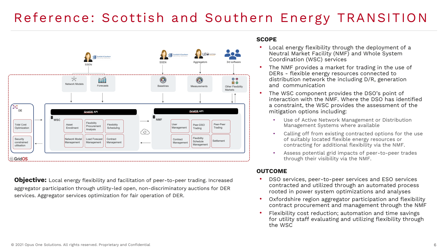# Reference: Scottish and Southern Energy TRANSITION



**Objective:** Local energy flexibility and facilitation of peer-to-peer trading. Increased aggregator participation through utility-led open, non-discriminatory auctions for DER services. Aggregator services optimization for fair operation of DER.

#### **SCOPE**

- Local energy flexibility through the deployment of a Neutral Market Facility (NMF) and Whole System Coordination (WSC) services
- The NMF provides a market for trading in the use of DERs - flexible energy resources connected to distribution network the including D/R, generation and communication
- The WSC component provides the DSO's point of interaction with the NMF. Where the DSO has identified a constraint, the WSC provides the assessment of the mitigation options including:
	- Use of Active Network Management or Distribution Management Systems where available
	- Calling off from existing contracted options for the use of suitably located flexible energy resources or contracting for additional flexibility via the NMF.
	- Assess potential grid impacts of peer-to-peer trades through their visibility via the NMF.

#### **OUTCOME**

- DSO services, peer-to-peer services and ESO services contracted and utilized through an automated process rooted in power system optimizations and analyses
- Oxfordshire region aggregator participation and flexibility contract procurement and management through the NMF
- Flexibility cost reduction; automation and time savings for utility staff evaluating and utilizing flexibility through the WSC